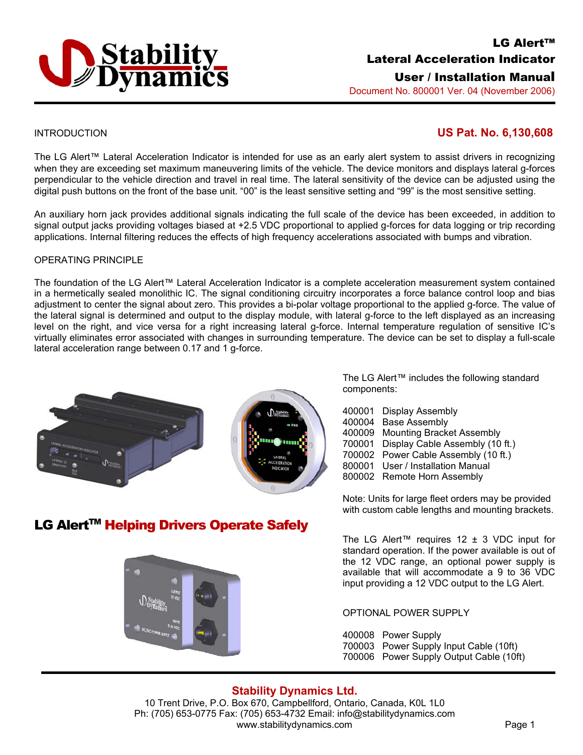

# LG Alert™ Lateral Acceleration Indicator

User / Installation Manual

Document No. 800001 Ver. 04 (November 2006)

## INTRODUCTION **US Pat. No. 6,130,608**

The LG Alert™ Lateral Acceleration Indicator is intended for use as an early alert system to assist drivers in recognizing when they are exceeding set maximum maneuvering limits of the vehicle. The device monitors and displays lateral g-forces perpendicular to the vehicle direction and travel in real time. The lateral sensitivity of the device can be adjusted using the digital push buttons on the front of the base unit. "00" is the least sensitive setting and "99" is the most sensitive setting.

An auxiliary horn jack provides additional signals indicating the full scale of the device has been exceeded, in addition to signal output jacks providing voltages biased at +2.5 VDC proportional to applied g-forces for data logging or trip recording applications. Internal filtering reduces the effects of high frequency accelerations associated with bumps and vibration.

#### OPERATING PRINCIPLE

The foundation of the LG Alert™ Lateral Acceleration Indicator is a complete acceleration measurement system contained in a hermetically sealed monolithic IC. The signal conditioning circuitry incorporates a force balance control loop and bias adjustment to center the signal about zero. This provides a bi-polar voltage proportional to the applied g-force. The value of the lateral signal is determined and output to the display module, with lateral g-force to the left displayed as an increasing level on the right, and vice versa for a right increasing lateral g-force. Internal temperature regulation of sensitive IC's virtually eliminates error associated with changes in surrounding temperature. The device can be set to display a full-scale lateral acceleration range between 0.17 and 1 g-force.



LG Alert<sup>™</sup> Helping Drivers Operate Safely



The LG Alert™ includes the following standard components:

- 400001 Display Assembly
- 400004 Base Assembly
- 400009 Mounting Bracket Assembly
- 700001 Display Cable Assembly (10 ft.)
- 700002 Power Cable Assembly (10 ft.)
- 800001 User / Installation Manual
- 800002 Remote Horn Assembly

Note: Units for large fleet orders may be provided with custom cable lengths and mounting brackets.

The LG Alert<sup>™</sup> requires 12  $±$  3 VDC input for standard operation. If the power available is out of the 12 VDC range, an optional power supply is available that will accommodate a 9 to 36 VDC input providing a 12 VDC output to the LG Alert.

OPTIONAL POWER SUPPLY

400008 Power Supply

- 700003 Power Supply Input Cable (10ft)
- 700006 Power Supply Output Cable (10ft)

# **Stability Dynamics Ltd.**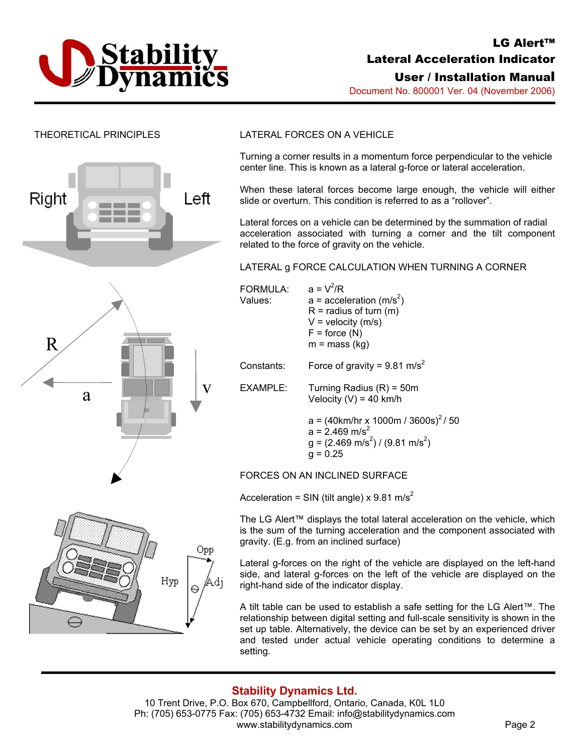

# LG Alert™ Lateral Acceleration Indicator

User / Installation Manual

Document No. 800001 Ver. 04 (November 2006)



#### THEORETICAL PRINCIPLES LATERAL FORCES ON A VEHICLE

Turning a corner results in a momentum force perpendicular to the vehicle center line. This is known as a lateral g-force or lateral acceleration.

When these lateral forces become large enough, the vehicle will either slide or overturn. This condition is referred to as a "rollover".

Lateral forces on a vehicle can be determined by the summation of radial acceleration associated with turning a corner and the tilt component related to the force of gravity on the vehicle.

#### LATERAL g FORCE CALCULATION WHEN TURNING A CORNER



 $R =$  radius of turn  $(m)$ FORMULA:  $a = V^2/R$ Values:  $a = acceleration (m/s<sup>2</sup>)$  $V =$  velocity (m/s)  $F =$  force  $(N)$  $m = mass (kg)$ Constants: Force of gravity =  $9.81 \text{ m/s}^2$  $V$  EXAMPLE: Turning Radius  $(R) = 50m$ Velocity (V) =  $40 \text{ km/h}$  $a = (40 \text{km/hr} \times 1000 \text{m} / 3600 \text{s})^2 / 50$  $a = 2.469$  m/s<sup>2</sup>  $g = (2.469 \text{ m/s}^2) / (9.81 \text{ m/s}^2)$  $q = 0.25$ 

FORCES ON AN INCLINED SURFACE

Acceleration = SIN (tilt angle) x 9.81 m/s<sup>2</sup>

The LG Alert™ displays the total lateral acceleration on the vehicle, which is the sum of the turning acceleration and the component associated with gravity. (E.g. from an inclined surface)

Lateral g-forces on the right of the vehicle are displayed on the left-hand side, and lateral g-forces on the left of the vehicle are displayed on the right-hand side of the indicator display.

A tilt table can be used to establish a safe setting for the LG Alert™. The relationship between digital setting and full-scale sensitivity is shown in the set up table. Alternatively, the device can be set by an experienced driver and tested under actual vehicle operating conditions to determine a setting.

## **Stability Dynamics Ltd.**

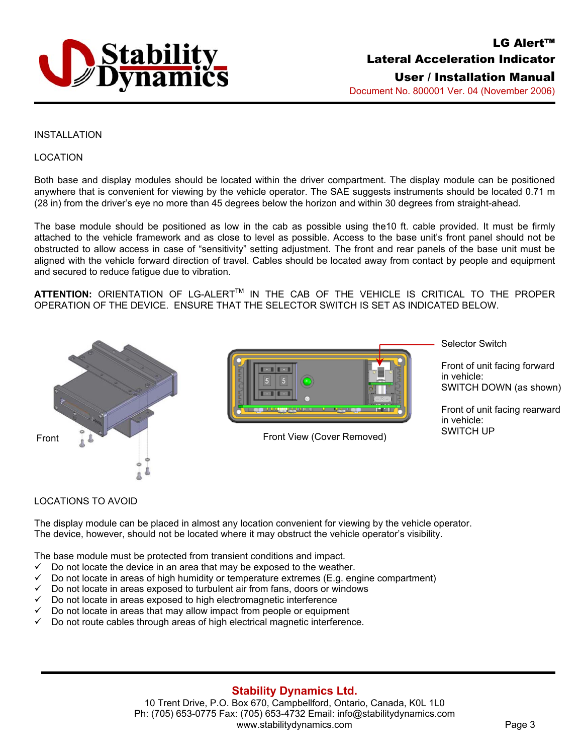

#### INSTALLATION

#### LOCATION

Both base and display modules should be located within the driver compartment. The display module can be positioned anywhere that is convenient for viewing by the vehicle operator. The SAE suggests instruments should be located 0.71 m (28 in) from the driver's eye no more than 45 degrees below the horizon and within 30 degrees from straight-ahead.

The base module should be positioned as low in the cab as possible using the10 ft. cable provided. It must be firmly attached to the vehicle framework and as close to level as possible. Access to the base unit's front panel should not be obstructed to allow access in case of "sensitivity" setting adjustment. The front and rear panels of the base unit must be aligned with the vehicle forward direction of travel. Cables should be located away from contact by people and equipment and secured to reduce fatigue due to vibration.

ATTENTION: ORIENTATION OF LG-ALERT™ IN THE CAB OF THE VEHICLE IS CRITICAL TO THE PROPER OPERATION OF THE DEVICE. ENSURE THAT THE SELECTOR SWITCH IS SET AS INDICATED BELOW.





Selector Switch

Front of unit facing forward in vehicle: SWITCH DOWN (as shown)

Front of unit facing rearward in vehicle: SWITCH UP

#### LOCATIONS TO AVOID

The display module can be placed in almost any location convenient for viewing by the vehicle operator. The device, however, should not be located where it may obstruct the vehicle operator's visibility.

The base module must be protected from transient conditions and impact.

- Do not locate the device in an area that may be exposed to the weather.
- Do not locate in areas of high humidity or temperature extremes (E.g. engine compartment)
- 9 Do not locate in areas exposed to turbulent air from fans, doors or windows
- Do not locate in areas exposed to high electromagnetic interference
- 9 Do not locate in areas that may allow impact from people or equipment
- 9 Do not route cables through areas of high electrical magnetic interference.

#### **Stability Dynamics Ltd.**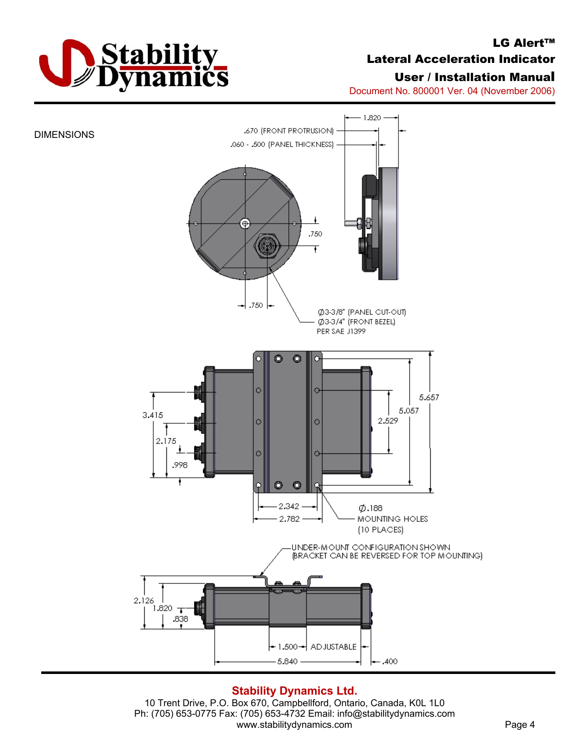

# LG Alert™ Lateral Acceleration Indicator

# User / Installation Manual

Document No. 800001 Ver. 04 (November 2006)



## **Stability Dynamics Ltd.**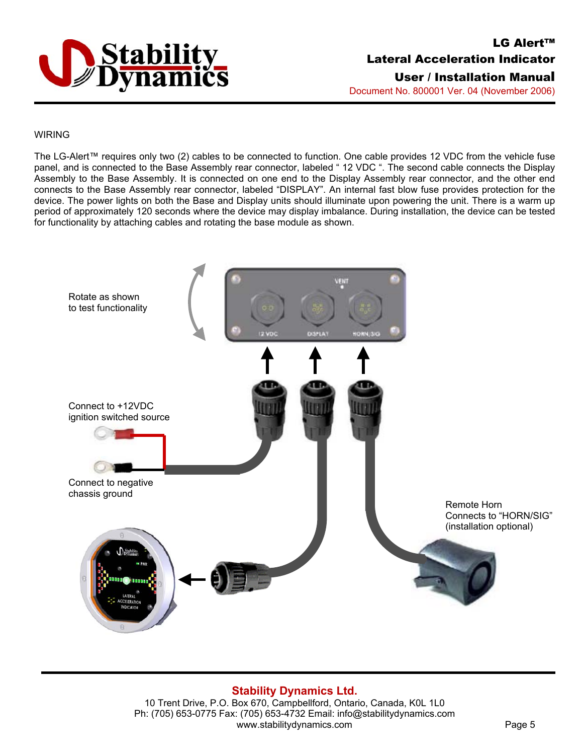

# LG Alert™ Lateral Acceleration Indicator User / Installation Manual

Document No. 800001 Ver. 04 (November 2006)

#### WIRING

The LG-Alert™ requires only two (2) cables to be connected to function. One cable provides 12 VDC from the vehicle fuse panel, and is connected to the Base Assembly rear connector, labeled "12 VDC ". The second cable connects the Display Assembly to the Base Assembly. It is connected on one end to the Display Assembly rear connector, and the other end connects to the Base Assembly rear connector, labeled "DISPLAY". An internal fast blow fuse provides protection for the device. The power lights on both the Base and Display units should illuminate upon powering the unit. There is a warm up period of approximately 120 seconds where the device may display imbalance. During installation, the device can be tested for functionality by attaching cables and rotating the base module as shown.



# **Stability Dynamics Ltd.**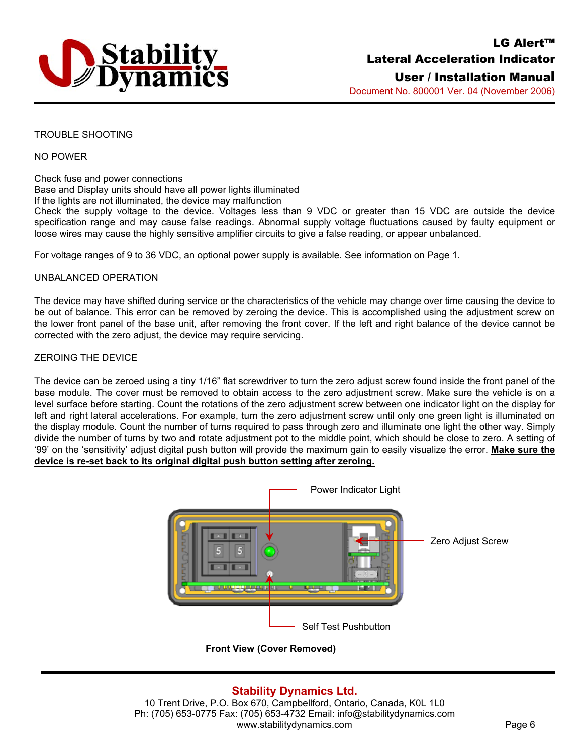

User / Installation Manual Document No. 800001 Ver. 04 (November 2006)

#### TROUBLE SHOOTING

#### NO POWER

Check fuse and power connections Base and Display units should have all power lights illuminated If the lights are not illuminated, the device may malfunction Check the supply voltage to the device. Voltages less than 9 VDC or greater than 15 VDC are outside the device specification range and may cause false readings. Abnormal supply voltage fluctuations caused by faulty equipment or loose wires may cause the highly sensitive amplifier circuits to give a false reading, or appear unbalanced.

For voltage ranges of 9 to 36 VDC, an optional power supply is available. See information on Page 1.

#### UNBALANCED OPERATION

The device may have shifted during service or the characteristics of the vehicle may change over time causing the device to be out of balance. This error can be removed by zeroing the device. This is accomplished using the adjustment screw on the lower front panel of the base unit, after removing the front cover. If the left and right balance of the device cannot be corrected with the zero adjust, the device may require servicing.

#### ZEROING THE DEVICE

The device can be zeroed using a tiny 1/16" flat screwdriver to turn the zero adjust screw found inside the front panel of the base module. The cover must be removed to obtain access to the zero adjustment screw. Make sure the vehicle is on a level surface before starting. Count the rotations of the zero adjustment screw between one indicator light on the display for left and right lateral accelerations. For example, turn the zero adjustment screw until only one green light is illuminated on the display module. Count the number of turns required to pass through zero and illuminate one light the other way. Simply divide the number of turns by two and rotate adjustment pot to the middle point, which should be close to zero. A setting of '99' on the 'sensitivity' adjust digital push button will provide the maximum gain to easily visualize the error. **Make sure the device is re-set back to its original digital push button setting after zeroing.** 



**Front View (Cover Removed)** 

## **Stability Dynamics Ltd.**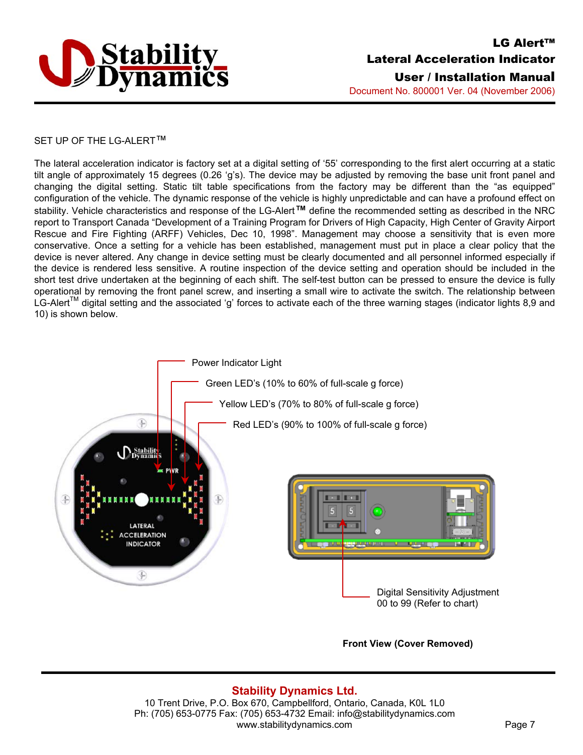

#### SET UP OF THE LG-ALERT™

The lateral acceleration indicator is factory set at a digital setting of '55' corresponding to the first alert occurring at a static tilt angle of approximately 15 degrees (0.26 'g's). The device may be adjusted by removing the base unit front panel and changing the digital setting. Static tilt table specifications from the factory may be different than the "as equipped" configuration of the vehicle. The dynamic response of the vehicle is highly unpredictable and can have a profound effect on stability. Vehicle characteristics and response of the LG-Alert*™* define the recommended setting as described in the NRC report to Transport Canada "Development of a Training Program for Drivers of High Capacity, High Center of Gravity Airport Rescue and Fire Fighting (ARFF) Vehicles, Dec 10, 1998". Management may choose a sensitivity that is even more conservative. Once a setting for a vehicle has been established, management must put in place a clear policy that the device is never altered. Any change in device setting must be clearly documented and all personnel informed especially if the device is rendered less sensitive. A routine inspection of the device setting and operation should be included in the short test drive undertaken at the beginning of each shift. The self-test button can be pressed to ensure the device is fully operational by removing the front panel screw, and inserting a small wire to activate the switch. The relationship between LG-Alert<sup>TM</sup> digital setting and the associated 'g' forces to activate each of the three warning stages (indicator lights 8,9 and 10) is shown below.



#### **Front View (Cover Removed)**

## **Stability Dynamics Ltd.**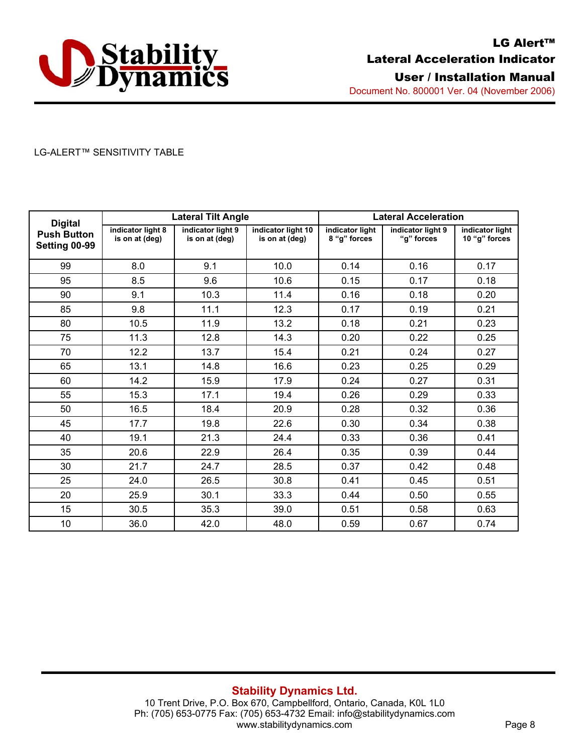

### LG-ALERT™ SENSITIVITY TABLE

| <b>Digital</b><br><b>Push Button</b><br>Setting 00-99 | <b>Lateral Tilt Angle</b>           |                                     |                                      | <b>Lateral Acceleration</b>     |                                 |                                  |
|-------------------------------------------------------|-------------------------------------|-------------------------------------|--------------------------------------|---------------------------------|---------------------------------|----------------------------------|
|                                                       | indicator light 8<br>is on at (deg) | indicator light 9<br>is on at (deg) | indicator light 10<br>is on at (deg) | indicator light<br>8 "g" forces | indicator light 9<br>"g" forces | indicator light<br>10 "g" forces |
| 99                                                    | 8.0                                 | 9.1                                 | 10.0                                 | 0.14                            | 0.16                            | 0.17                             |
| 95                                                    | 8.5                                 | 9.6                                 | 10.6                                 | 0.15                            | 0.17                            | 0.18                             |
| 90                                                    | 9.1                                 | 10.3                                | 11.4                                 | 0.16                            | 0.18                            | 0.20                             |
| 85                                                    | 9.8                                 | 11.1                                | 12.3                                 | 0.17                            | 0.19                            | 0.21                             |
| 80                                                    | 10.5                                | 11.9                                | 13.2                                 | 0.18                            | 0.21                            | 0.23                             |
| 75                                                    | 11.3                                | 12.8                                | 14.3                                 | 0.20                            | 0.22                            | 0.25                             |
| 70                                                    | 12.2                                | 13.7                                | 15.4                                 | 0.21                            | 0.24                            | 0.27                             |
| 65                                                    | 13.1                                | 14.8                                | 16.6                                 | 0.23                            | 0.25                            | 0.29                             |
| 60                                                    | 14.2                                | 15.9                                | 17.9                                 | 0.24                            | 0.27                            | 0.31                             |
| 55                                                    | 15.3                                | 17.1                                | 19.4                                 | 0.26                            | 0.29                            | 0.33                             |
| 50                                                    | 16.5                                | 18.4                                | 20.9                                 | 0.28                            | 0.32                            | 0.36                             |
| 45                                                    | 17.7                                | 19.8                                | 22.6                                 | 0.30                            | 0.34                            | 0.38                             |
| 40                                                    | 19.1                                | 21.3                                | 24.4                                 | 0.33                            | 0.36                            | 0.41                             |
| 35                                                    | 20.6                                | 22.9                                | 26.4                                 | 0.35                            | 0.39                            | 0.44                             |
| 30                                                    | 21.7                                | 24.7                                | 28.5                                 | 0.37                            | 0.42                            | 0.48                             |
| 25                                                    | 24.0                                | 26.5                                | 30.8                                 | 0.41                            | 0.45                            | 0.51                             |
| 20                                                    | 25.9                                | 30.1                                | 33.3                                 | 0.44                            | 0.50                            | 0.55                             |
| 15                                                    | 30.5                                | 35.3                                | 39.0                                 | 0.51                            | 0.58                            | 0.63                             |
| 10                                                    | 36.0                                | 42.0                                | 48.0                                 | 0.59                            | 0.67                            | 0.74                             |

## **Stability Dynamics Ltd.**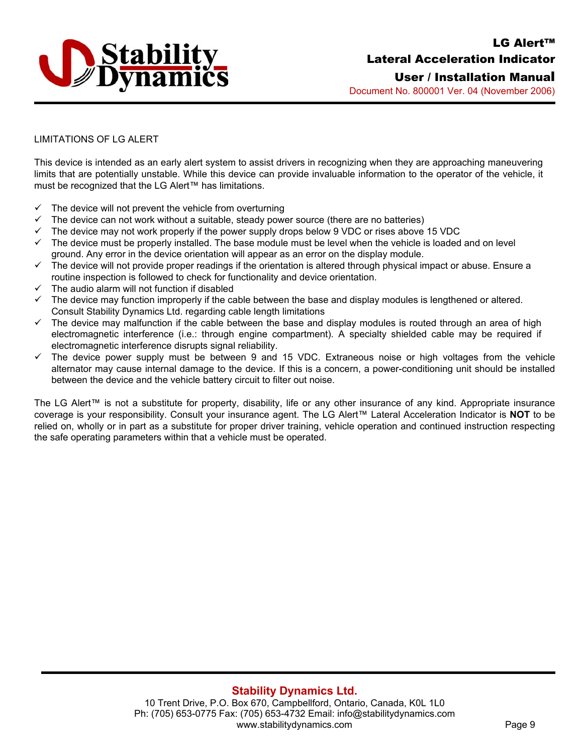

User / Installation Manual Document No. 800001 Ver. 04 (November 2006)

### LIMITATIONS OF LG ALERT

This device is intended as an early alert system to assist drivers in recognizing when they are approaching maneuvering limits that are potentially unstable. While this device can provide invaluable information to the operator of the vehicle, it must be recognized that the LG Alert™ has limitations.

- $\checkmark$  The device will not prevent the vehicle from overturning
- The device can not work without a suitable, steady power source (there are no batteries)
- $\checkmark$  The device may not work properly if the power supply drops below 9 VDC or rises above 15 VDC
- $\checkmark$  The device must be properly installed. The base module must be level when the vehicle is loaded and on level ground. Any error in the device orientation will appear as an error on the display module.
- $\checkmark$  The device will not provide proper readings if the orientation is altered through physical impact or abuse. Ensure a routine inspection is followed to check for functionality and device orientation.
- The audio alarm will not function if disabled
- $\checkmark$  The device may function improperly if the cable between the base and display modules is lengthened or altered. Consult Stability Dynamics Ltd. regarding cable length limitations
- $\checkmark$  The device may malfunction if the cable between the base and display modules is routed through an area of high electromagnetic interference (i.e.: through engine compartment). A specialty shielded cable may be required if electromagnetic interference disrupts signal reliability.
- $\checkmark$  The device power supply must be between 9 and 15 VDC. Extraneous noise or high voltages from the vehicle alternator may cause internal damage to the device. If this is a concern, a power-conditioning unit should be installed between the device and the vehicle battery circuit to filter out noise.

The LG Alert™ is not a substitute for property, disability, life or any other insurance of any kind. Appropriate insurance coverage is your responsibility. Consult your insurance agent. The LG Alert™ Lateral Acceleration Indicator is **NOT** to be relied on, wholly or in part as a substitute for proper driver training, vehicle operation and continued instruction respecting the safe operating parameters within that a vehicle must be operated.

## **Stability Dynamics Ltd.**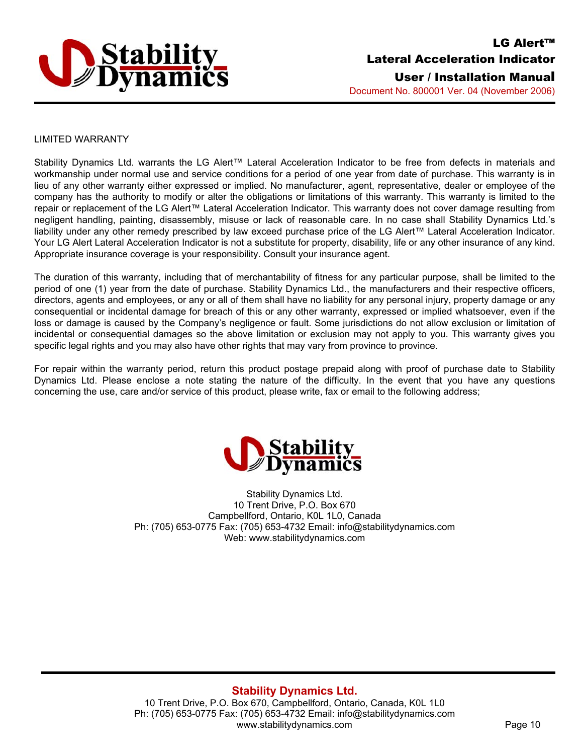

#### LIMITED WARRANTY

Stability Dynamics Ltd. warrants the LG Alert™ Lateral Acceleration Indicator to be free from defects in materials and workmanship under normal use and service conditions for a period of one year from date of purchase. This warranty is in lieu of any other warranty either expressed or implied. No manufacturer, agent, representative, dealer or employee of the company has the authority to modify or alter the obligations or limitations of this warranty. This warranty is limited to the repair or replacement of the LG Alert™ Lateral Acceleration Indicator. This warranty does not cover damage resulting from negligent handling, painting, disassembly, misuse or lack of reasonable care. In no case shall Stability Dynamics Ltd.'s liability under any other remedy prescribed by law exceed purchase price of the LG Alert™ Lateral Acceleration Indicator. Your LG Alert Lateral Acceleration Indicator is not a substitute for property, disability, life or any other insurance of any kind. Appropriate insurance coverage is your responsibility. Consult your insurance agent.

The duration of this warranty, including that of merchantability of fitness for any particular purpose, shall be limited to the period of one (1) year from the date of purchase. Stability Dynamics Ltd., the manufacturers and their respective officers, directors, agents and employees, or any or all of them shall have no liability for any personal injury, property damage or any consequential or incidental damage for breach of this or any other warranty, expressed or implied whatsoever, even if the loss or damage is caused by the Company's negligence or fault. Some jurisdictions do not allow exclusion or limitation of incidental or consequential damages so the above limitation or exclusion may not apply to you. This warranty gives you specific legal rights and you may also have other rights that may vary from province to province.

For repair within the warranty period, return this product postage prepaid along with proof of purchase date to Stability Dynamics Ltd. Please enclose a note stating the nature of the difficulty. In the event that you have any questions concerning the use, care and/or service of this product, please write, fax or email to the following address;



Stability Dynamics Ltd. 10 Trent Drive, P.O. Box 670 Campbellford, Ontario, K0L 1L0, Canada Ph: (705) 653-0775 Fax: (705) 653-4732 Email: info@stabilitydynamics.com Web: www.stabilitydynamics.com

## **Stability Dynamics Ltd.**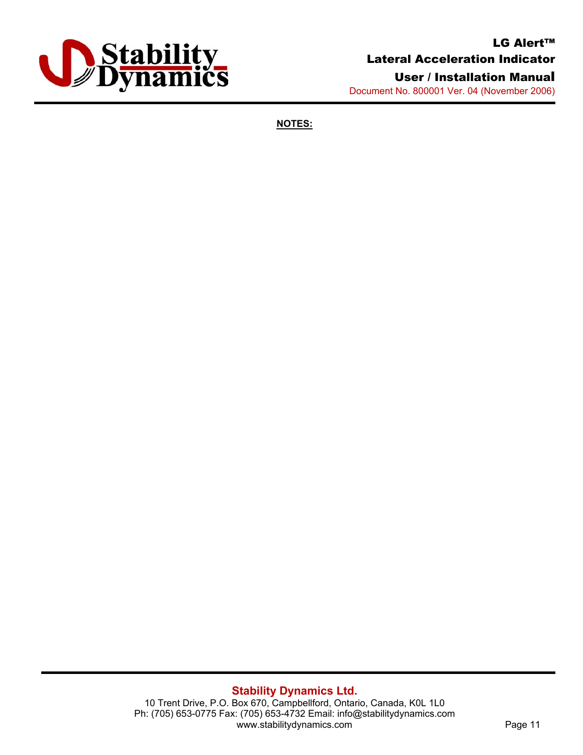

# LG Alert™ Lateral Acceleration Indicator User / Installation Manual

Document No. 800001 Ver. 04 (November 2006)

**NOTES:**